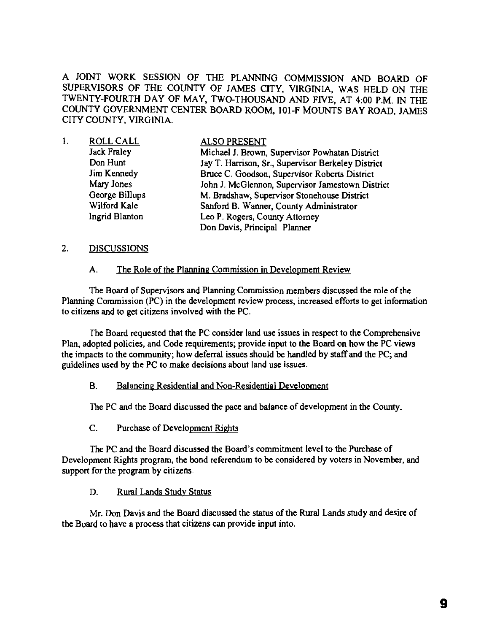A JOINT WORK SESSION OF THE PLANNING COMMISSION AND BOARD OF SUPERVISORS OF THE COUNTY OF JAMES CITY, VIRGINIA, WAS HELD ON THE TWENTY-FOURTH DAY OF MAY, TWO-THOUSAND AND FIVE, AT 4:00 P.M. IN THE COUNTY GOVERNMENT CENTER BOARD ROOM, 101-F MOUNTS BAY ROAD, JAMES CITY COUNTY, VIRGINIA.

| 1. | <b>ROLL CALL</b>   | <b>ALSO PRESENT</b>                                |
|----|--------------------|----------------------------------------------------|
|    | <b>Jack Fraley</b> | Michael J. Brown, Supervisor Powhatan District     |
|    | Don Hunt           | Jay T. Harrison, Sr., Supervisor Berkeley District |
|    | Jim Kennedy        | Bruce C. Goodson, Supervisor Roberts District      |
|    | Mary Jones         | John J. McGlennon, Supervisor Jamestown District   |
|    | George Billups     | M. Bradshaw, Supervisor Stonehouse District        |
|    | Wilford Kale       | Sanford B. Wanner, County Administrator            |
|    | Ingrid Blanton     | Leo P. Rogers, County Attorney                     |
|    |                    | Don Davis, Principal Planner                       |

### 2. DISCUSSIONS

### A. The Role of the Planning Commission in Development Review

The Board of Supervisors and Planning Commission members discussed the role of the Planning Commission (PC) in the development review process, increased efforts to get information to citizens and to get citizens involved with the PC.

The Board requested that the PC consider land use issues in respect to the Comprehensive Plan, adopted policies, and Code requirements; provide input to the Board on how the PC views the impacts to the community; how deferral issues should be handled by staff and the PC; and guidelines used by the PC to make decisions about land use issues.

### B. Balancing Residential and Non-Residential Development

The PC and the Board discussed the pace and balance of development in the County.

C. Purchase of Development Rights

The PC and the Board discussed the Board's commitment level to the Purchase of Development Rights program, the bond referendum to be considered by voters in November, and support for the program by citizens.

## D. Rural Lands Study Status

Mr. Don Davis and the Board discussed the status of the Rural Lands study and desire of the Board to have a process that citizens can provide input into.